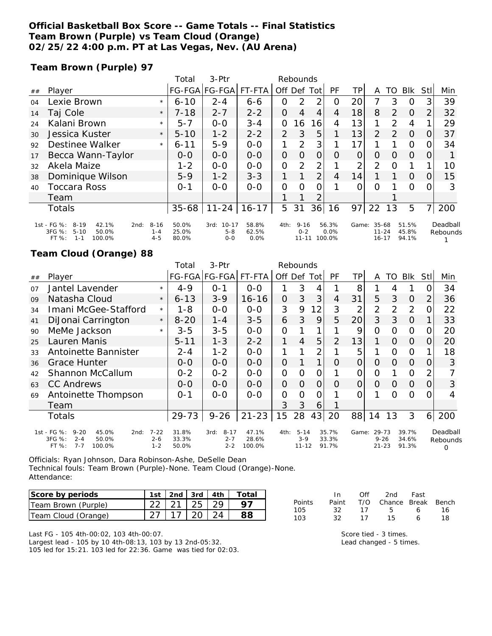### **Official Basketball Box Score -- Game Totals -- Final Statistics Team Brown (Purple) vs Team Cloud (Orange) 02/25/22 4:00 p.m. PT at Las Vegas, Nev. (AU Arena)**

**Team Brown (Purple) 97**

|    |                                                                                                       |                                | Total                   | $3-$ Ptr                         | Rebounds               |      |                                  |                |                         |                |                                 |               |                         |          |                      |
|----|-------------------------------------------------------------------------------------------------------|--------------------------------|-------------------------|----------------------------------|------------------------|------|----------------------------------|----------------|-------------------------|----------------|---------------------------------|---------------|-------------------------|----------|----------------------|
| ## | Player                                                                                                |                                |                         | FG-FGA FG-FGA                    | FT-FTA                 | Off  | Def                              | Tot            | PF                      | TP.            | A                               | TO            | Blk                     | Stl      | Min                  |
| 04 | Lexie Brown                                                                                           | $\star$                        | $6 - 10$                | $2 - 4$                          | $6 - 6$                | Ο    | 2                                | っ              | O                       | 20             | 7                               | 3             | O                       |          | 39                   |
| 14 | Taj Cole                                                                                              | $\star$                        | $7 - 18$                | $2 - 7$                          | $2 - 2$                | 0    | 4                                | 4              | 4                       | 18             | 8                               | $\mathcal{P}$ | $\Omega$                | 2        | 32                   |
| 24 | Kalani Brown                                                                                          | $\star$                        | $5 - 7$                 | $0-0$                            | $3 - 4$                | 0    | 16                               | 16             | 4                       | 13             | 1                               | 2             | 4                       |          | 29                   |
| 30 | Jessica Kuster                                                                                        | $\star$                        | $5 - 10$                | $1 - 2$                          | $2 - 2$                | 2    | 3                                | 5              |                         | 13             | $\overline{2}$                  | $\mathcal{L}$ | $\Omega$                | 0        | 37                   |
| 92 | Destinee Walker                                                                                       | $\star$                        | $6 - 11$                | $5 - 9$                          | $0-0$                  | 1    | 2                                | 3              |                         | 17             |                                 |               | $\Omega$                |          | 34                   |
| 17 | Becca Wann-Taylor                                                                                     |                                | $O-O$                   | $0 - 0$                          | $0 - 0$                | 0    | O                                | 0              | O                       | $\overline{O}$ | 0                               | $\Omega$      | $\Omega$                |          |                      |
| 32 | Akela Maize                                                                                           |                                | $1 - 2$                 | $0 - 0$                          | $0 - 0$                | O    | 2                                | 2              |                         | 2              | $\overline{2}$                  | 0             |                         |          | 10                   |
| 38 | Dominique Wilson                                                                                      |                                | $5-9$                   | $1 - 2$                          | $3 - 3$                | 1.   | 1                                | $\overline{2}$ | 4                       | 14             |                                 |               | $\Omega$                | $\Omega$ | 15                   |
| 40 | Toccara Ross                                                                                          |                                | $0 - 1$                 | $0 - 0$                          | $0 - 0$                | O    | Ω                                |                |                         | 0              | 0                               |               | $\Omega$                |          | 3                    |
|    | Team                                                                                                  |                                |                         |                                  |                        |      |                                  | າ              |                         |                |                                 |               |                         |          |                      |
|    | <b>Totals</b>                                                                                         |                                | $35 - 68$               | $11 - 24$                        | $16 - 17$              | 5    | 31                               | 36             | 16                      | 97             | 22                              | 13            | 5                       |          | 200                  |
|    | 1st - FG %:<br>$8 - 19$<br>42.1%<br>2nd:<br>3FG %:<br>$5 - 10$<br>50.0%<br>$1 - 1$<br>100.0%<br>FT %: | $8 - 16$<br>$1 - 4$<br>$4 - 5$ | 50.0%<br>25.0%<br>80.0% | 3rd: 10-17<br>$5 - 8$<br>$0 - 0$ | 58.8%<br>62.5%<br>0.0% | 4th: | $9 - 16$<br>$0 - 2$<br>$11 - 11$ |                | 56.3%<br>0.0%<br>100.0% | Game:          | 35-68<br>$11 - 24$<br>$16 - 17$ |               | 51.5%<br>45.8%<br>94.1% |          | Deadball<br>Rebounds |

### **Team Cloud (Orange) 88**

|    |                                                                                                        |                                | Total                   | 3-Ptr                                  | Rebounds                 |                |                                |     |                         |                |                                |          |                         |          |                           |
|----|--------------------------------------------------------------------------------------------------------|--------------------------------|-------------------------|----------------------------------------|--------------------------|----------------|--------------------------------|-----|-------------------------|----------------|--------------------------------|----------|-------------------------|----------|---------------------------|
| ## | Player                                                                                                 |                                |                         | FG-FGA FG-FGA                          | FT-FTA                   |                | Off Def                        | Tot | PF                      | ΤP             | A                              | TO       | <b>BIK</b>              | Stl      | Min                       |
| 07 | Jantel Lavender                                                                                        | $\star$                        | $4 - 9$                 | $O - 1$                                | $0 - 0$                  |                | 3                              | 4   |                         | 8              |                                | 4        |                         | Ω        | 34                        |
| 09 | Natasha Cloud                                                                                          | $\star$                        | $6 - 13$                | $3 - 9$                                | $16 - 16$                | $\overline{O}$ | 3                              | 3   | 4                       | 31             | 5                              | 3        | $\Omega$                | 2        | 36                        |
| 34 | Imani McGee-Stafford                                                                                   | $\star$                        | 1-8                     | $0-0$                                  | $0 - 0$                  | 3              | 9                              | 12  | 3                       | $\overline{2}$ | $\overline{2}$                 | 2        | $\overline{2}$          | Ω        | 22                        |
| 41 | DiJonai Carrington                                                                                     | $\star$                        | $8 - 20$                | $1 - 4$                                | $3 - 5$                  | 6              | 3                              | 9   | 5                       | 20             | 3                              | 3        | $\Omega$                |          | 33                        |
| 90 | MeMe Jackson                                                                                           | $\star$                        | $3 - 5$                 | $3 - 5$                                | $0 - 0$                  | $\Omega$       |                                | 1   |                         | 9              | 0                              | O        | 0                       | Ω        | 20                        |
| 25 | Lauren Manis                                                                                           |                                | $5 - 11$                | $1 - 3$                                | $2 - 2$                  | 1              | 4                              | 5   | 2                       | 13             | 1                              | $\Omega$ | $\Omega$                | O        | 20                        |
| 33 | Antoinette Bannister                                                                                   |                                | $2 - 4$                 | $1 - 2$                                | $0 - 0$                  |                |                                | 2   |                         | 5              |                                | Ω        | 0                       |          | 18                        |
| 36 | Grace Hunter                                                                                           |                                | $O-O$                   | $0 - 0$                                | $0 - 0$                  | $\overline{O}$ |                                | 1   | $\Omega$                | $\overline{O}$ | O                              | $\Omega$ | $\Omega$                | O        | 3                         |
| 42 | Shannon McCallum                                                                                       |                                | $0 - 2$                 | $0 - 2$                                | $0 - 0$                  | O              | O                              | 0   |                         | 0              | 0                              |          | 0                       | 2        |                           |
| 63 | <b>CC Andrews</b>                                                                                      |                                | $O-O$                   | $0 - 0$                                | $0 - 0$                  | $\Omega$       | $\Omega$                       | 0   | Ο                       | $\overline{0}$ | O                              | 0        | $\Omega$                | O        | 3                         |
| 69 | Antoinette Thompson                                                                                    |                                | $0 - 1$                 | $0 - 0$                                | $O-O$                    | $\overline{O}$ | 0                              | 0   |                         | Ω              |                                | ∩        | $\Omega$                | O        | 4                         |
|    | Team                                                                                                   |                                |                         |                                        |                          | 3              | 3                              | 6   |                         |                |                                |          |                         |          |                           |
|    | Totals                                                                                                 |                                | $29 - 73$               | $9 - 26$                               | $21 - 23$                | 15             | 28                             | 43  | 20                      | 88             | 14                             | 13       | 3                       | $6 \mid$ | 200                       |
|    | 1st - FG %:<br>$9 - 20$<br>45.0%<br>2nd:<br>3FG %:<br>$2 - 4$<br>50.0%<br>$FT$ %:<br>$7 - 7$<br>100.0% | $7 - 22$<br>$2 - 6$<br>$1 - 2$ | 31.8%<br>33.3%<br>50.0% | $8 - 17$<br>3rd:<br>$2 - 7$<br>$2 - 2$ | 47.1%<br>28.6%<br>100.0% | 4th:           | $5 - 14$<br>$3-9$<br>$11 - 12$ |     | 35.7%<br>33.3%<br>91.7% | Game:          | 29-73<br>$9 - 26$<br>$21 - 23$ |          | 39.7%<br>34.6%<br>91.3% |          | Deadball<br>Rebounds<br>O |

Officials: Ryan Johnson, Dara Robinson-Ashe, DeSelle Dean Technical fouls: Team Brown (Purple)-None. Team Cloud (Orange)-None. Attendance:

| Score by periods    |                   |  | 1st   2nd   3rd   4th   Total |
|---------------------|-------------------|--|-------------------------------|
| Team Brown (Purple) | 22   21   25   29 |  | 97                            |
| Team Cloud (Orange) | 27   17   20   24 |  |                               |

Last FG - 105 4th-00:02, 103 4th-00:07. Largest lead - 105 by 10 4th-08:13, 103 by 13 2nd-05:32. 105 led for 15:21. 103 led for 22:36. Game was tied for 02:03.

|        | - In  | ∩ff | 2nd                    | Fast |    |
|--------|-------|-----|------------------------|------|----|
| Points | Paint |     | T/O Chance Break Bench |      |    |
| 105    | 32.   | -17 | $5 -$                  | 6    | 16 |
| 103    | 32    | 17  | 15.                    | А    | 18 |

Score tied - 3 times. Lead changed - 5 times.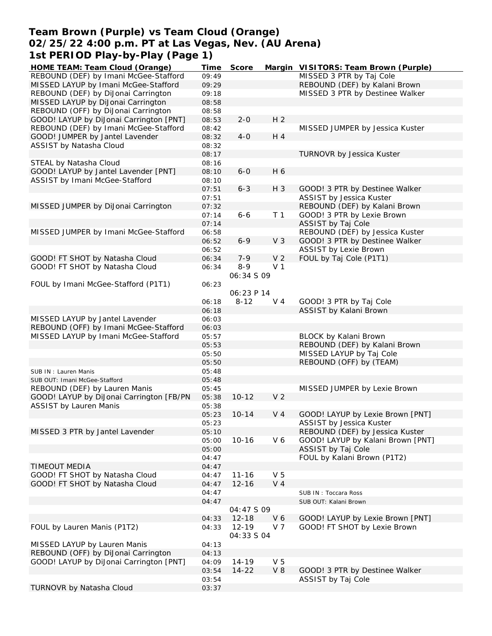# **Team Brown (Purple) vs Team Cloud (Orange) 02/25/22 4:00 p.m. PT at Las Vegas, Nev. (AU Arena) 1st PERIOD Play-by-Play (Page 1)**

| HOME TEAM: Team Cloud (Orange)           | Time  | Score      |                | Margin VISITORS: Team Brown (Purple) |
|------------------------------------------|-------|------------|----------------|--------------------------------------|
| REBOUND (DEF) by Imani McGee-Stafford    | 09:49 |            |                | MISSED 3 PTR by Taj Cole             |
| MISSED LAYUP by Imani McGee-Stafford     | 09:29 |            |                | REBOUND (DEF) by Kalani Brown        |
| REBOUND (DEF) by DiJonai Carrington      | 09:18 |            |                | MISSED 3 PTR by Destinee Walker      |
| MISSED LAYUP by DiJonai Carrington       | 08:58 |            |                |                                      |
| REBOUND (OFF) by DiJonai Carrington      | 08:58 |            |                |                                      |
| GOOD! LAYUP by DiJonai Carrington [PNT]  | 08:53 | $2 - 0$    | H <sub>2</sub> |                                      |
| REBOUND (DEF) by Imani McGee-Stafford    | 08:42 |            |                | MISSED JUMPER by Jessica Kuster      |
| GOOD! JUMPER by Jantel Lavender          | 08:32 | $4 - 0$    | H 4            |                                      |
| ASSIST by Natasha Cloud                  | 08:32 |            |                |                                      |
|                                          | 08:17 |            |                | TURNOVR by Jessica Kuster            |
| STEAL by Natasha Cloud                   | 08:16 |            |                |                                      |
| GOOD! LAYUP by Jantel Lavender [PNT]     | 08:10 | $6-0$      | H 6            |                                      |
| ASSIST by Imani McGee-Stafford           | 08:10 |            |                |                                      |
|                                          | 07:51 | $6 - 3$    | H 3            | GOOD! 3 PTR by Destinee Walker       |
|                                          | 07:51 |            |                | ASSIST by Jessica Kuster             |
| MISSED JUMPER by DiJonai Carrington      | 07:32 |            |                | REBOUND (DEF) by Kalani Brown        |
|                                          | 07:14 | $6 - 6$    |                | GOOD! 3 PTR by Lexie Brown           |
|                                          |       |            | T <sub>1</sub> |                                      |
|                                          | 07:14 |            |                | ASSIST by Taj Cole                   |
| MISSED JUMPER by Imani McGee-Stafford    | 06:58 |            |                | REBOUND (DEF) by Jessica Kuster      |
|                                          | 06:52 | $6 - 9$    | V <sub>3</sub> | GOOD! 3 PTR by Destinee Walker       |
|                                          | 06:52 |            |                | <b>ASSIST by Lexie Brown</b>         |
| GOOD! FT SHOT by Natasha Cloud           | 06:34 | $7 - 9$    | V <sub>2</sub> | FOUL by Taj Cole (P1T1)              |
| GOOD! FT SHOT by Natasha Cloud           | 06:34 | $8 - 9$    | V <sub>1</sub> |                                      |
|                                          |       | 06:34 S 09 |                |                                      |
| FOUL by Imani McGee-Stafford (P1T1)      | 06:23 |            |                |                                      |
|                                          |       | 06:23 P 14 |                |                                      |
|                                          | 06:18 | $8 - 12$   | $V_4$          | GOOD! 3 PTR by Taj Cole              |
|                                          | 06:18 |            |                | ASSIST by Kalani Brown               |
| MISSED LAYUP by Jantel Lavender          | 06:03 |            |                |                                      |
| REBOUND (OFF) by Imani McGee-Stafford    | 06:03 |            |                |                                      |
| MISSED LAYUP by Imani McGee-Stafford     | 05:57 |            |                | BLOCK by Kalani Brown                |
|                                          | 05:53 |            |                | REBOUND (DEF) by Kalani Brown        |
|                                          | 05:50 |            |                | MISSED LAYUP by Taj Cole             |
|                                          | 05:50 |            |                | REBOUND (OFF) by (TEAM)              |
| SUB IN: Lauren Manis                     | 05:48 |            |                |                                      |
| SUB OUT: Imani McGee-Stafford            | 05:48 |            |                |                                      |
| REBOUND (DEF) by Lauren Manis            | 05:45 |            |                | MISSED JUMPER by Lexie Brown         |
| GOOD! LAYUP by DiJonai Carrington [FB/PN | 05:38 | $10 - 12$  | V <sub>2</sub> |                                      |
| <b>ASSIST by Lauren Manis</b>            | 05:38 |            |                |                                      |
|                                          | 05:23 | $10 - 14$  | V <sub>4</sub> | GOOD! LAYUP by Lexie Brown [PNT]     |
|                                          | 05:23 |            |                | ASSIST by Jessica Kuster             |
| MISSED 3 PTR by Jantel Lavender          | 05:10 |            |                | REBOUND (DEF) by Jessica Kuster      |
|                                          | 05:00 | $10 - 16$  | V6             | GOOD! LAYUP by Kalani Brown [PNT]    |
|                                          | 05:00 |            |                | ASSIST by Taj Cole                   |
|                                          | 04:47 |            |                | FOUL by Kalani Brown (P1T2)          |
| TIMEOUT MEDIA                            | 04:47 |            |                |                                      |
| GOOD! FT SHOT by Natasha Cloud           | 04:47 | $11 - 16$  | V <sub>5</sub> |                                      |
|                                          |       |            | V <sub>4</sub> |                                      |
| GOOD! FT SHOT by Natasha Cloud           | 04:47 | $12 - 16$  |                |                                      |
|                                          | 04:47 |            |                | SUB IN: Toccara Ross                 |
|                                          | 04:47 |            |                | SUB OUT: Kalani Brown                |
|                                          |       | 04:47 S 09 |                |                                      |
|                                          | 04:33 | $12 - 18$  | V6             | GOOD! LAYUP by Lexie Brown [PNT]     |
| FOUL by Lauren Manis (P1T2)              | 04:33 | $12 - 19$  | V 7            | GOOD! FT SHOT by Lexie Brown         |
|                                          |       | 04:33 S 04 |                |                                      |
| MISSED LAYUP by Lauren Manis             | 04:13 |            |                |                                      |
| REBOUND (OFF) by DiJonai Carrington      | 04:13 |            |                |                                      |
| GOOD! LAYUP by DiJonai Carrington [PNT]  | 04:09 | 14-19      | V <sub>5</sub> |                                      |
|                                          | 03:54 | $14 - 22$  | $V_8$          | GOOD! 3 PTR by Destinee Walker       |
|                                          | 03:54 |            |                | ASSIST by Taj Cole                   |
| TURNOVR by Natasha Cloud                 | 03:37 |            |                |                                      |
|                                          |       |            |                |                                      |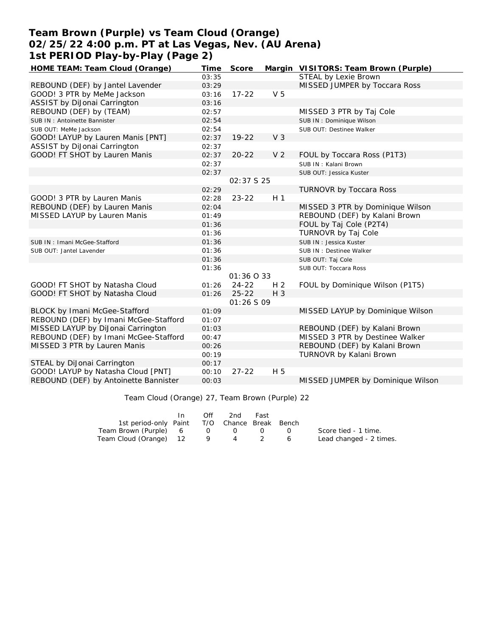# **Team Brown (Purple) vs Team Cloud (Orange) 02/25/22 4:00 p.m. PT at Las Vegas, Nev. (AU Arena) 1st PERIOD Play-by-Play (Page 2)**

| HOME TEAM: Team Cloud (Orange)        | Time  | Score             |                | Margin VISITORS: Team Brown (Purple) |
|---------------------------------------|-------|-------------------|----------------|--------------------------------------|
|                                       | 03:35 |                   |                | STEAL by Lexie Brown                 |
| REBOUND (DEF) by Jantel Lavender      | 03:29 |                   |                | MISSED JUMPER by Toccara Ross        |
| GOOD! 3 PTR by MeMe Jackson           | 03:16 | $17 - 22$         | V <sub>5</sub> |                                      |
| ASSIST by DiJonai Carrington          | 03:16 |                   |                |                                      |
| REBOUND (DEF) by (TEAM)               | 02:57 |                   |                | MISSED 3 PTR by Taj Cole             |
| SUB IN: Antoinette Bannister          | 02:54 |                   |                | SUB IN: Dominique Wilson             |
| SUB OUT: MeMe Jackson                 | 02:54 |                   |                | SUB OUT: Destinee Walker             |
| GOOD! LAYUP by Lauren Manis [PNT]     | 02:37 | $19 - 22$         | V <sub>3</sub> |                                      |
| ASSIST by DiJonai Carrington          | 02:37 |                   |                |                                      |
| GOOD! FT SHOT by Lauren Manis         | 02:37 | $20 - 22$         | V <sub>2</sub> | FOUL by Toccara Ross (P1T3)          |
|                                       | 02:37 |                   |                | SUB IN: Kalani Brown                 |
|                                       | 02:37 |                   |                | SUB OUT: Jessica Kuster              |
|                                       |       | 02:37 \$ 25       |                |                                      |
|                                       | 02:29 |                   |                | <b>TURNOVR by Toccara Ross</b>       |
| GOOD! 3 PTR by Lauren Manis           | 02:28 | $23 - 22$         | H <sub>1</sub> |                                      |
| REBOUND (DEF) by Lauren Manis         | 02:04 |                   |                | MISSED 3 PTR by Dominique Wilson     |
| MISSED LAYUP by Lauren Manis          | 01:49 |                   |                | REBOUND (DEF) by Kalani Brown        |
|                                       | 01:36 |                   |                | FOUL by Taj Cole (P2T4)              |
|                                       | 01:36 |                   |                | TURNOVR by Taj Cole                  |
| SUB IN: Imani McGee-Stafford          | 01:36 |                   |                | SUB IN : Jessica Kuster              |
| SUB OUT: Jantel Lavender              | 01:36 |                   |                | SUB IN : Destinee Walker             |
|                                       | 01:36 |                   |                | SUB OUT: Taj Cole                    |
|                                       | 01:36 |                   |                | SUB OUT: Toccara Ross                |
|                                       |       | 01:36 0 33        |                |                                      |
| GOOD! FT SHOT by Natasha Cloud        | 01:26 | $24 - 22$         | H <sub>2</sub> | FOUL by Dominique Wilson (P1T5)      |
| GOOD! FT SHOT by Natasha Cloud        | 01:26 | $25 - 22$         | $H_3$          |                                      |
|                                       |       | <i>01:26 S 09</i> |                |                                      |
| BLOCK by Imani McGee-Stafford         | 01:09 |                   |                | MISSED LAYUP by Dominique Wilson     |
| REBOUND (DEF) by Imani McGee-Stafford | 01:07 |                   |                |                                      |
| MISSED LAYUP by DiJonai Carrington    | 01:03 |                   |                | REBOUND (DEF) by Kalani Brown        |
| REBOUND (DEF) by Imani McGee-Stafford | 00:47 |                   |                | MISSED 3 PTR by Destinee Walker      |
| MISSED 3 PTR by Lauren Manis          | 00:26 |                   |                | REBOUND (DEF) by Kalani Brown        |
|                                       | 00:19 |                   |                | TURNOVR by Kalani Brown              |
| STEAL by DiJonai Carrington           | 00:17 |                   |                |                                      |
| GOOD! LAYUP by Natasha Cloud [PNT]    | 00:10 | $27 - 22$         | H 5            |                                      |
| REBOUND (DEF) by Antoinette Bannister | 00:03 |                   |                | MISSED JUMPER by Dominique Wilson    |

#### Team Cloud (Orange) 27, Team Brown (Purple) 22

|                                              | In. | Off | 2nd               | Fast |       |                         |
|----------------------------------------------|-----|-----|-------------------|------|-------|-------------------------|
| 1st period-only Paint T/O Chance Break Bench |     |     |                   |      |       |                         |
| Team Brown (Purple) 6                        |     |     | $\Omega$ $\Omega$ |      | - ( ) | Score tied - 1 time.    |
| Team Cloud (Orange) 12 9                     |     |     | 4                 |      | 6     | Lead changed - 2 times. |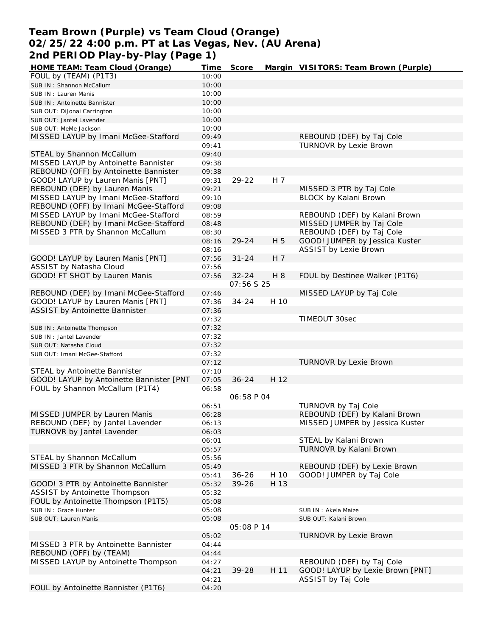# **Team Brown (Purple) vs Team Cloud (Orange) 02/25/22 4:00 p.m. PT at Las Vegas, Nev. (AU Arena) 2nd PERIOD Play-by-Play (Page 1)**

| HOME TEAM: Team Cloud (Orange)           | Time  | Score             |      | Margin VISITORS: Team Brown (Purple) |
|------------------------------------------|-------|-------------------|------|--------------------------------------|
| FOUL by (TEAM) (P1T3)                    | 10:00 |                   |      |                                      |
| SUB IN: Shannon McCallum                 | 10:00 |                   |      |                                      |
| SUB IN: Lauren Manis                     | 10:00 |                   |      |                                      |
| SUB IN: Antoinette Bannister             | 10:00 |                   |      |                                      |
| SUB OUT: DiJonai Carrington              | 10:00 |                   |      |                                      |
| SUB OUT: Jantel Lavender                 | 10:00 |                   |      |                                      |
| SUB OUT: MeMe Jackson                    | 10:00 |                   |      |                                      |
| MISSED LAYUP by Imani McGee-Stafford     | 09:49 |                   |      | REBOUND (DEF) by Taj Cole            |
|                                          | 09:41 |                   |      | TURNOVR by Lexie Brown               |
| STEAL by Shannon McCallum                | 09:40 |                   |      |                                      |
| MISSED LAYUP by Antoinette Bannister     | 09:38 |                   |      |                                      |
|                                          |       |                   |      |                                      |
| REBOUND (OFF) by Antoinette Bannister    | 09:38 | 29-22             |      |                                      |
| GOOD! LAYUP by Lauren Manis [PNT]        | 09:31 |                   | H 7  |                                      |
| REBOUND (DEF) by Lauren Manis            | 09:21 |                   |      | MISSED 3 PTR by Taj Cole             |
| MISSED LAYUP by Imani McGee-Stafford     | 09:10 |                   |      | BLOCK by Kalani Brown                |
| REBOUND (OFF) by Imani McGee-Stafford    | 09:08 |                   |      |                                      |
| MISSED LAYUP by Imani McGee-Stafford     | 08:59 |                   |      | REBOUND (DEF) by Kalani Brown        |
| REBOUND (DEF) by Imani McGee-Stafford    | 08:48 |                   |      | MISSED JUMPER by Taj Cole            |
| MISSED 3 PTR by Shannon McCallum         | 08:30 |                   |      | REBOUND (DEF) by Taj Cole            |
|                                          | 08:16 | 29-24             | H 5  | GOOD! JUMPER by Jessica Kuster       |
|                                          | 08:16 |                   |      | <b>ASSIST by Lexie Brown</b>         |
| GOOD! LAYUP by Lauren Manis [PNT]        | 07:56 | $31 - 24$         | H 7  |                                      |
| ASSIST by Natasha Cloud                  | 07:56 |                   |      |                                      |
| GOOD! FT SHOT by Lauren Manis            | 07:56 | $32 - 24$         | H 8  | FOUL by Destinee Walker (P1T6)       |
|                                          |       | 07:56 S 25        |      |                                      |
| REBOUND (DEF) by Imani McGee-Stafford    | 07:46 |                   |      | MISSED LAYUP by Taj Cole             |
| GOOD! LAYUP by Lauren Manis [PNT]        | 07:36 | $34 - 24$         | H 10 |                                      |
| ASSIST by Antoinette Bannister           | 07:36 |                   |      |                                      |
|                                          | 07:32 |                   |      | TIMEOUT 30sec                        |
| SUB IN: Antoinette Thompson              | 07:32 |                   |      |                                      |
|                                          | 07:32 |                   |      |                                      |
| SUB IN: Jantel Lavender                  | 07:32 |                   |      |                                      |
| SUB OUT: Natasha Cloud                   |       |                   |      |                                      |
| SUB OUT: Imani McGee-Stafford            | 07:32 |                   |      |                                      |
|                                          | 07:12 |                   |      | TURNOVR by Lexie Brown               |
| STEAL by Antoinette Bannister            | 07:10 |                   |      |                                      |
| GOOD! LAYUP by Antoinette Bannister [PNT | 07:05 | $36 - 24$         | H 12 |                                      |
| FOUL by Shannon McCallum (P1T4)          | 06:58 |                   |      |                                      |
|                                          |       | <i>06:58 P 04</i> |      |                                      |
|                                          | 06:51 |                   |      | TURNOVR by Taj Cole                  |
| MISSED JUMPER by Lauren Manis            | 06:28 |                   |      | REBOUND (DEF) by Kalani Brown        |
| REBOUND (DEF) by Jantel Lavender         | 06:13 |                   |      | MISSED JUMPER by Jessica Kuster      |
| TURNOVR by Jantel Lavender               | 06:03 |                   |      |                                      |
|                                          | 06:01 |                   |      | STEAL by Kalani Brown                |
|                                          | 05:57 |                   |      | TURNOVR by Kalani Brown              |
| STEAL by Shannon McCallum                | 05:56 |                   |      |                                      |
| MISSED 3 PTR by Shannon McCallum         | 05:49 |                   |      | REBOUND (DEF) by Lexie Brown         |
|                                          | 05:41 | $36 - 26$         | H 10 | GOOD! JUMPER by Taj Cole             |
| GOOD! 3 PTR by Antoinette Bannister      | 05:32 | 39-26             | H 13 |                                      |
| ASSIST by Antoinette Thompson            | 05:32 |                   |      |                                      |
| FOUL by Antoinette Thompson (P1T5)       | 05:08 |                   |      |                                      |
| SUB IN : Grace Hunter                    | 05:08 |                   |      | SUB IN: Akela Maize                  |
| SUB OUT: Lauren Manis                    | 05:08 |                   |      | SUB OUT: Kalani Brown                |
|                                          |       | 05:08 P 14        |      |                                      |
|                                          | 05:02 |                   |      | TURNOVR by Lexie Brown               |
| MISSED 3 PTR by Antoinette Bannister     | 04:44 |                   |      |                                      |
|                                          |       |                   |      |                                      |
| REBOUND (OFF) by (TEAM)                  | 04:44 |                   |      |                                      |
| MISSED LAYUP by Antoinette Thompson      | 04:27 |                   |      | REBOUND (DEF) by Taj Cole            |
|                                          | 04:21 | 39-28             | H 11 | GOOD! LAYUP by Lexie Brown [PNT]     |
|                                          | 04:21 |                   |      | ASSIST by Taj Cole                   |
| FOUL by Antoinette Bannister (P1T6)      | 04:20 |                   |      |                                      |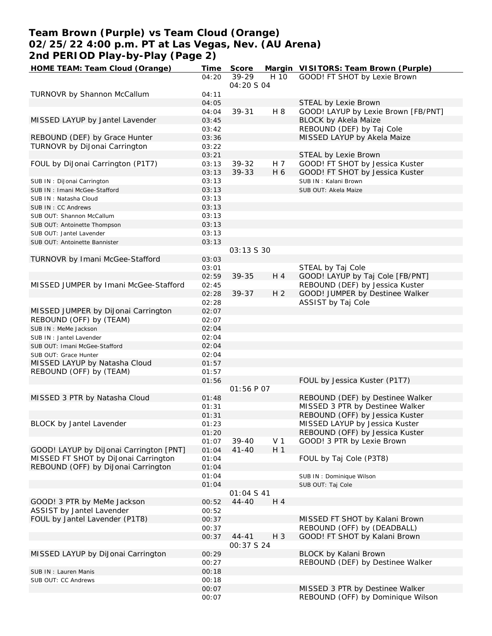# **Team Brown (Purple) vs Team Cloud (Orange) 02/25/22 4:00 p.m. PT at Las Vegas, Nev. (AU Arena) 2nd PERIOD Play-by-Play (Page 2)**

| HOME TEAM: Team Cloud (Orange)          | Time  | Score       |                | Margin VISITORS: Team Brown (Purple) |
|-----------------------------------------|-------|-------------|----------------|--------------------------------------|
|                                         | 04:20 | 39-29       | H 10           | GOOD! FT SHOT by Lexie Brown         |
|                                         |       | 04:20 S 04  |                |                                      |
| <b>TURNOVR by Shannon McCallum</b>      | 04:11 |             |                |                                      |
|                                         | 04:05 |             |                | STEAL by Lexie Brown                 |
|                                         | 04:04 | 39-31       | H 8            | GOOD! LAYUP by Lexie Brown [FB/PNT]  |
| MISSED LAYUP by Jantel Lavender         | 03:45 |             |                | <b>BLOCK by Akela Maize</b>          |
|                                         | 03:42 |             |                | REBOUND (DEF) by Taj Cole            |
| REBOUND (DEF) by Grace Hunter           | 03:36 |             |                | MISSED LAYUP by Akela Maize          |
| TURNOVR by DiJonai Carrington           | 03:22 |             |                |                                      |
|                                         | 03:21 |             |                | STEAL by Lexie Brown                 |
| FOUL by DiJonai Carrington (P1T7)       | 03:13 | 39-32       | H 7            | GOOD! FT SHOT by Jessica Kuster      |
|                                         | 03:13 | 39-33       | H 6            | GOOD! FT SHOT by Jessica Kuster      |
| SUB IN: DiJonai Carrington              | 03:13 |             |                | SUB IN: Kalani Brown                 |
| SUB IN: Imani McGee-Stafford            | 03:13 |             |                | SUB OUT: Akela Maize                 |
| SUB IN: Natasha Cloud                   | 03:13 |             |                |                                      |
| SUB IN: CC Andrews                      | 03:13 |             |                |                                      |
| SUB OUT: Shannon McCallum               | 03:13 |             |                |                                      |
| SUB OUT: Antoinette Thompson            | 03:13 |             |                |                                      |
| SUB OUT: Jantel Lavender                | 03:13 |             |                |                                      |
| SUB OUT: Antoinette Bannister           | 03:13 |             |                |                                      |
|                                         |       | 03:13 \$ 30 |                |                                      |
| TURNOVR by Imani McGee-Stafford         | 03:03 |             |                |                                      |
|                                         | 03:01 |             |                | STEAL by Taj Cole                    |
|                                         | 02:59 | $39 - 35$   | H 4            | GOOD! LAYUP by Taj Cole [FB/PNT]     |
| MISSED JUMPER by Imani McGee-Stafford   | 02:45 |             |                | REBOUND (DEF) by Jessica Kuster      |
|                                         | 02:28 | $39 - 37$   | H <sub>2</sub> | GOOD! JUMPER by Destinee Walker      |
|                                         | 02:28 |             |                | ASSIST by Taj Cole                   |
| MISSED JUMPER by DiJonai Carrington     | 02:07 |             |                |                                      |
| REBOUND (OFF) by (TEAM)                 | 02:07 |             |                |                                      |
| SUB IN : MeMe Jackson                   | 02:04 |             |                |                                      |
| SUB IN: Jantel Lavender                 | 02:04 |             |                |                                      |
| SUB OUT: Imani McGee-Stafford           | 02:04 |             |                |                                      |
| SUB OUT: Grace Hunter                   | 02:04 |             |                |                                      |
| MISSED LAYUP by Natasha Cloud           | 01:57 |             |                |                                      |
| REBOUND (OFF) by (TEAM)                 | 01:57 |             |                |                                      |
|                                         | 01:56 |             |                | FOUL by Jessica Kuster (P1T7)        |
|                                         |       | 01:56 P 07  |                |                                      |
| MISSED 3 PTR by Natasha Cloud           | 01:48 |             |                | REBOUND (DEF) by Destinee Walker     |
|                                         | 01:31 |             |                | MISSED 3 PTR by Destinee Walker      |
|                                         | 01:31 |             |                | REBOUND (OFF) by Jessica Kuster      |
| BLOCK by Jantel Lavender                | 01:23 |             |                | MISSED LAYUP by Jessica Kuster       |
|                                         | 01:20 |             |                | REBOUND (OFF) by Jessica Kuster      |
|                                         | 01:07 | 39-40       | V <sub>1</sub> | GOOD! 3 PTR by Lexie Brown           |
| GOOD! LAYUP by DiJonai Carrington [PNT] | 01:04 | $41 - 40$   | H <sub>1</sub> |                                      |
| MISSED FT SHOT by DiJonai Carrington    | 01:04 |             |                | FOUL by Taj Cole (P3T8)              |
| REBOUND (OFF) by DiJonai Carrington     | 01:04 |             |                |                                      |
|                                         | 01:04 |             |                | SUB IN: Dominique Wilson             |
|                                         | 01:04 |             |                | SUB OUT: Taj Cole                    |
|                                         |       | 01:04 S 41  |                |                                      |
| GOOD! 3 PTR by MeMe Jackson             | 00:52 | $44 - 40$   | H 4            |                                      |
| ASSIST by Jantel Lavender               | 00:52 |             |                |                                      |
| FOUL by Jantel Lavender (P1T8)          | 00:37 |             |                | MISSED FT SHOT by Kalani Brown       |
|                                         | 00:37 |             |                | REBOUND (OFF) by (DEADBALL)          |
|                                         | 00:37 | $44 - 41$   | $H_3$          | GOOD! FT SHOT by Kalani Brown        |
|                                         |       | 00:37 S 24  |                |                                      |
| MISSED LAYUP by DiJonai Carrington      | 00:29 |             |                | BLOCK by Kalani Brown                |
|                                         | 00:27 |             |                | REBOUND (DEF) by Destinee Walker     |
| SUB IN: Lauren Manis                    | 00:18 |             |                |                                      |
| SUB OUT: CC Andrews                     | 00:18 |             |                |                                      |
|                                         | 00:07 |             |                | MISSED 3 PTR by Destinee Walker      |
|                                         | 00:07 |             |                | REBOUND (OFF) by Dominique Wilson    |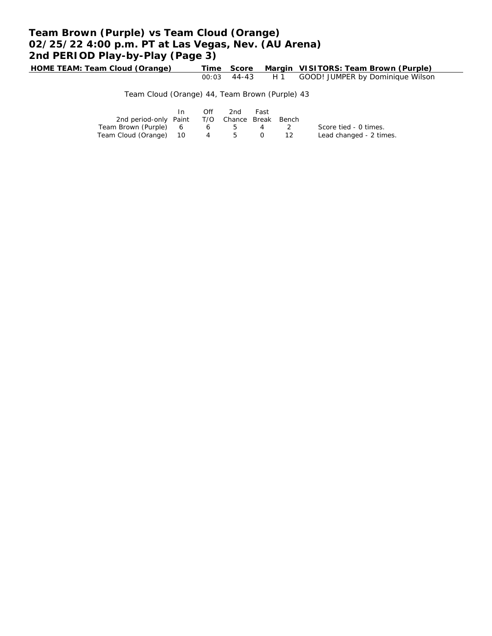# **Team Brown (Purple) vs Team Cloud (Orange) 02/25/22 4:00 p.m. PT at Las Vegas, Nev. (AU Arena) 2nd PERIOD Play-by-Play (Page 3)**

**HOME TEAM: Team Cloud (Orange) Time Score Margin VISITORS: Team Brown (Purple)** 00:03 44-43 H 1 GOOD! JUMPER by Dominique Wilson

Team Cloud (Orange) 44, Team Brown (Purple) 43

|                                              | Off | 2nd         | Fast |                         |
|----------------------------------------------|-----|-------------|------|-------------------------|
| 2nd period-only Paint T/O Chance Break Bench |     |             |      |                         |
| Team Brown (Purple) 6 6 5 4 2                |     |             |      | Score tied - 0 times.   |
| Team Cloud (Orange) 10                       | 4   | $5^{\circ}$ |      | Lead changed - 2 times. |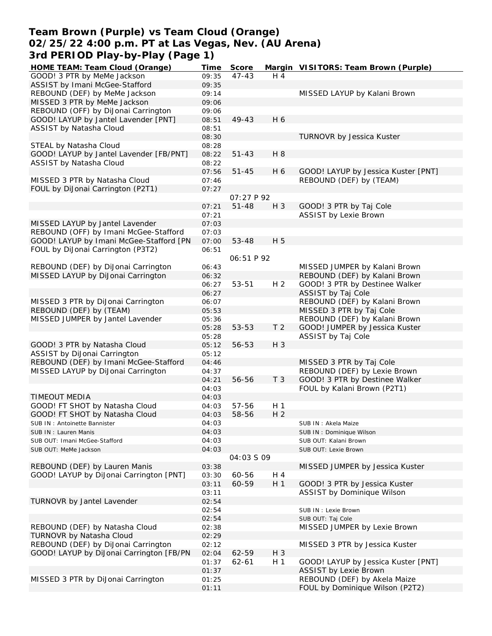### **Team Brown (Purple) vs Team Cloud (Orange) 02/25/22 4:00 p.m. PT at Las Vegas, Nev. (AU Arena) 3rd PERIOD Play-by-Play (Page 1)**

| HOME TEAM: Team Cloud (Orange)           | Time  | Score             |                | Margin VISITORS: Team Brown (Purple) |
|------------------------------------------|-------|-------------------|----------------|--------------------------------------|
| GOOD! 3 PTR by MeMe Jackson              | 09:35 | $47 - 43$         | H 4            |                                      |
| ASSIST by Imani McGee-Stafford           | 09:35 |                   |                |                                      |
| REBOUND (DEF) by MeMe Jackson            | 09:14 |                   |                | MISSED LAYUP by Kalani Brown         |
| MISSED 3 PTR by MeMe Jackson             | 09:06 |                   |                |                                      |
| REBOUND (OFF) by DiJonai Carrington      | 09:06 |                   |                |                                      |
| GOOD! LAYUP by Jantel Lavender [PNT]     | 08:51 | 49-43             | H 6            |                                      |
| ASSIST by Natasha Cloud                  | 08:51 |                   |                |                                      |
|                                          | 08:30 |                   |                | <b>TURNOVR by Jessica Kuster</b>     |
|                                          |       |                   |                |                                      |
| STEAL by Natasha Cloud                   | 08:28 | $51 - 43$         | H 8            |                                      |
| GOOD! LAYUP by Jantel Lavender [FB/PNT]  | 08:22 |                   |                |                                      |
| ASSIST by Natasha Cloud                  | 08:22 |                   |                |                                      |
|                                          | 07:56 | $51 - 45$         | H 6            | GOOD! LAYUP by Jessica Kuster [PNT]  |
| MISSED 3 PTR by Natasha Cloud            | 07:46 |                   |                | REBOUND (DEF) by (TEAM)              |
| FOUL by DiJonai Carrington (P2T1)        | 07:27 |                   |                |                                      |
|                                          |       | <i>OT:27 P 92</i> |                |                                      |
|                                          | 07:21 | $51 - 48$         | $H_3$          | GOOD! 3 PTR by Taj Cole              |
|                                          | 07:21 |                   |                | <b>ASSIST by Lexie Brown</b>         |
| MISSED LAYUP by Jantel Lavender          | 07:03 |                   |                |                                      |
| REBOUND (OFF) by Imani McGee-Stafford    | 07:03 |                   |                |                                      |
| GOOD! LAYUP by Imani McGee-Stafford [PN  | 07:00 | 53-48             | H 5            |                                      |
| FOUL by DiJonai Carrington (P3T2)        | 06:51 |                   |                |                                      |
|                                          |       | 06:51 P 92        |                |                                      |
| REBOUND (DEF) by DiJonai Carrington      | 06:43 |                   |                | MISSED JUMPER by Kalani Brown        |
| MISSED LAYUP by DiJonai Carrington       | 06:32 |                   |                | REBOUND (DEF) by Kalani Brown        |
|                                          | 06:27 | 53-51             | H <sub>2</sub> | GOOD! 3 PTR by Destinee Walker       |
|                                          | 06:27 |                   |                | ASSIST by Taj Cole                   |
| MISSED 3 PTR by DiJonai Carrington       | 06:07 |                   |                | REBOUND (DEF) by Kalani Brown        |
| REBOUND (DEF) by (TEAM)                  | 05:53 |                   |                | MISSED 3 PTR by Taj Cole             |
| MISSED JUMPER by Jantel Lavender         | 05:36 |                   |                | REBOUND (DEF) by Kalani Brown        |
|                                          | 05:28 | 53-53             | T <sub>2</sub> | GOOD! JUMPER by Jessica Kuster       |
|                                          | 05:28 |                   |                | ASSIST by Taj Cole                   |
| GOOD! 3 PTR by Natasha Cloud             | 05:12 | 56-53             | H 3            |                                      |
| ASSIST by DiJonai Carrington             | 05:12 |                   |                |                                      |
| REBOUND (DEF) by Imani McGee-Stafford    | 04:46 |                   |                | MISSED 3 PTR by Taj Cole             |
| MISSED LAYUP by DiJonai Carrington       | 04:37 |                   |                | REBOUND (DEF) by Lexie Brown         |
|                                          | 04:21 | 56-56             | T <sub>3</sub> | GOOD! 3 PTR by Destinee Walker       |
|                                          | 04:03 |                   |                | FOUL by Kalani Brown (P2T1)          |
| TIMEOUT MEDIA                            | 04:03 |                   |                |                                      |
|                                          |       | 57-56             |                |                                      |
| GOOD! FT SHOT by Natasha Cloud           | 04:03 |                   | H <sub>1</sub> |                                      |
| GOOD! FT SHOT by Natasha Cloud           | 04:03 | 58-56             | H <sub>2</sub> |                                      |
| SUB IN: Antoinette Bannister             | 04:03 |                   |                | SUB IN : Akela Maize                 |
| SUB IN: Lauren Manis                     | 04:03 |                   |                | SUB IN: Dominique Wilson             |
| SUB OUT: Imani McGee-Stafford            | 04:03 |                   |                | SUB OUT: Kalani Brown                |
| SUB OUT: MeMe Jackson                    | 04:03 |                   |                | SUB OUT: Lexie Brown                 |
|                                          |       | 04:03 S 09        |                |                                      |
| REBOUND (DEF) by Lauren Manis            | 03:38 |                   |                | MISSED JUMPER by Jessica Kuster      |
| GOOD! LAYUP by DiJonai Carrington [PNT]  | 03:30 | 60-56             | H 4            |                                      |
|                                          | 03:11 | 60-59             | H <sub>1</sub> | GOOD! 3 PTR by Jessica Kuster        |
|                                          | 03:11 |                   |                | ASSIST by Dominique Wilson           |
| TURNOVR by Jantel Lavender               | 02:54 |                   |                |                                      |
|                                          | 02:54 |                   |                | SUB IN : Lexie Brown                 |
|                                          | 02:54 |                   |                | SUB OUT: Taj Cole                    |
| REBOUND (DEF) by Natasha Cloud           | 02:38 |                   |                | MISSED JUMPER by Lexie Brown         |
| TURNOVR by Natasha Cloud                 | 02:29 |                   |                |                                      |
| REBOUND (DEF) by DiJonai Carrington      | 02:12 |                   |                | MISSED 3 PTR by Jessica Kuster       |
| GOOD! LAYUP by DiJonai Carrington [FB/PN | 02:04 | 62-59             | $H_3$          |                                      |
|                                          | 01:37 | $62 - 61$         | H <sub>1</sub> | GOOD! LAYUP by Jessica Kuster [PNT]  |
|                                          | 01:37 |                   |                | <b>ASSIST by Lexie Brown</b>         |
| MISSED 3 PTR by DiJonai Carrington       | 01:25 |                   |                | REBOUND (DEF) by Akela Maize         |
|                                          | 01:11 |                   |                | FOUL by Dominique Wilson (P2T2)      |
|                                          |       |                   |                |                                      |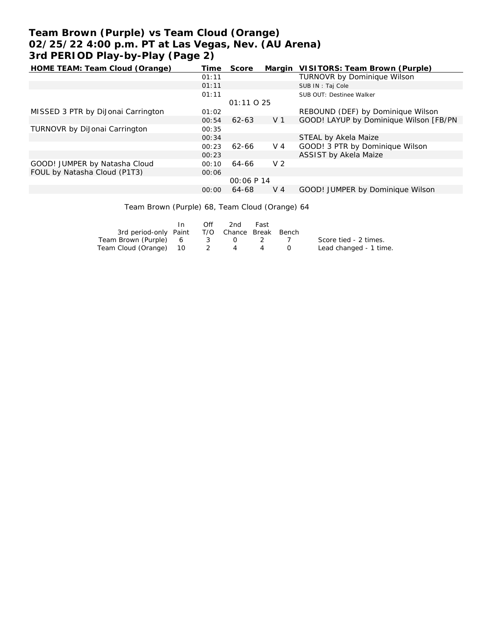# **Team Brown (Purple) vs Team Cloud (Orange) 02/25/22 4:00 p.m. PT at Las Vegas, Nev. (AU Arena) 3rd PERIOD Play-by-Play (Page 2)**

| HOME TEAM: Team Cloud (Orange)       | Time  | Score      | Margin         | VISITORS: Team Brown (Purple)           |
|--------------------------------------|-------|------------|----------------|-----------------------------------------|
|                                      | 01:11 |            |                | <b>TURNOVR by Dominique Wilson</b>      |
|                                      | 01:11 |            |                | SUB IN: Taj Cole                        |
|                                      | 01:11 |            |                | SUB OUT: Destinee Walker                |
|                                      |       | 01:11025   |                |                                         |
| MISSED 3 PTR by DiJonai Carrington   | 01:02 |            |                | REBOUND (DEF) by Dominique Wilson       |
|                                      | 00:54 | 62-63      | V 1            | GOOD! LAYUP by Dominique Wilson [FB/PN] |
| <b>TURNOVR by DiJonai Carrington</b> | 00:35 |            |                |                                         |
|                                      | 00:34 |            |                | STEAL by Akela Maize                    |
|                                      | 00:23 | 62-66      | V 4            | GOOD! 3 PTR by Dominique Wilson         |
|                                      | 00:23 |            |                | ASSIST by Akela Maize                   |
| GOOD! JUMPER by Natasha Cloud        | 00:10 | 64-66      | V <sub>2</sub> |                                         |
| FOUL by Natasha Cloud (P1T3)         | 00:06 |            |                |                                         |
|                                      |       | 00:06 P 14 |                |                                         |
|                                      | 00:00 | 64-68      | V 4            | GOOD! JUMPER by Dominique Wilson        |
|                                      |       |            |                |                                         |

Team Brown (Purple) 68, Team Cloud (Orange) 64

|                                              | Off | -2nd | Fast |                        |
|----------------------------------------------|-----|------|------|------------------------|
| 3rd period-only Paint T/O Chance Break Bench |     |      |      |                        |
| Team Brown (Purple) 6 3 0 2 7                |     |      |      | Score tied - 2 times.  |
| Team Cloud (Orange) 10 2 4 4                 |     |      |      | Lead changed - 1 time. |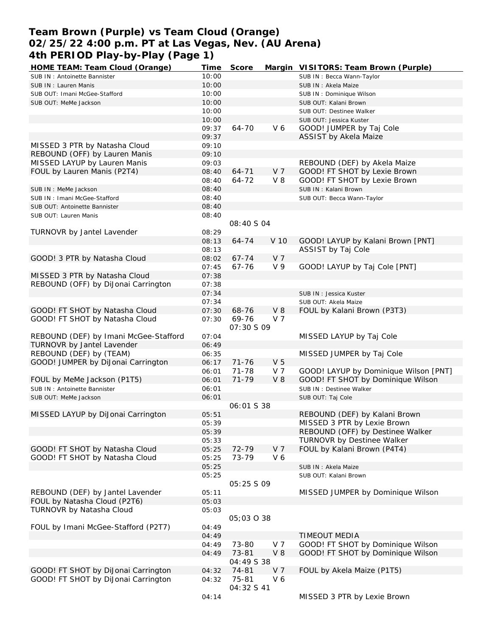# **Team Brown (Purple) vs Team Cloud (Orange) 02/25/22 4:00 p.m. PT at Las Vegas, Nev. (AU Arena) 4th PERIOD Play-by-Play (Page 1)**

| HOME TEAM: Team Cloud (Orange)                           | Time  | Score             |                | Margin VISITORS: Team Brown (Purple)  |
|----------------------------------------------------------|-------|-------------------|----------------|---------------------------------------|
| SUB IN: Antoinette Bannister                             | 10:00 |                   |                | SUB IN: Becca Wann-Taylor             |
| SUB IN: Lauren Manis                                     | 10:00 |                   |                | SUB IN: Akela Maize                   |
| SUB OUT: Imani McGee-Stafford                            | 10:00 |                   |                | SUB IN: Dominique Wilson              |
| SUB OUT: MeMe Jackson                                    | 10:00 |                   |                | SUB OUT: Kalani Brown                 |
|                                                          | 10:00 |                   |                | SUB OUT: Destinee Walker              |
|                                                          | 10:00 |                   |                | SUB OUT: Jessica Kuster               |
|                                                          | 09:37 | 64-70             | V6             | GOOD! JUMPER by Taj Cole              |
|                                                          | 09:37 |                   |                | ASSIST by Akela Maize                 |
| MISSED 3 PTR by Natasha Cloud                            | 09:10 |                   |                |                                       |
| REBOUND (OFF) by Lauren Manis                            | 09:10 |                   |                |                                       |
| MISSED LAYUP by Lauren Manis                             | 09:03 |                   |                | REBOUND (DEF) by Akela Maize          |
| FOUL by Lauren Manis (P2T4)                              | 08:40 | $64 - 71$         | V <sub>7</sub> | GOOD! FT SHOT by Lexie Brown          |
|                                                          | 08:40 | 64-72             | $V_8$          | GOOD! FT SHOT by Lexie Brown          |
| SUB IN : MeMe Jackson                                    | 08:40 |                   |                | SUB IN: Kalani Brown                  |
| SUB IN: Imani McGee-Stafford                             | 08:40 |                   |                | SUB OUT: Becca Wann-Taylor            |
|                                                          | 08:40 |                   |                |                                       |
| SUB OUT: Antoinette Bannister                            | 08:40 |                   |                |                                       |
| SUB OUT: Lauren Manis                                    |       |                   |                |                                       |
|                                                          |       | 08:40 S 04        |                |                                       |
| TURNOVR by Jantel Lavender                               | 08:29 |                   |                |                                       |
|                                                          | 08:13 | 64-74             | V 10           | GOOD! LAYUP by Kalani Brown [PNT]     |
|                                                          | 08:13 |                   |                | ASSIST by Taj Cole                    |
| GOOD! 3 PTR by Natasha Cloud                             | 08:02 | $67 - 74$         | V <sub>7</sub> |                                       |
|                                                          | 07:45 | 67-76             | V <sub>9</sub> | GOOD! LAYUP by Taj Cole [PNT]         |
| MISSED 3 PTR by Natasha Cloud                            | 07:38 |                   |                |                                       |
| REBOUND (OFF) by DiJonai Carrington                      | 07:38 |                   |                |                                       |
|                                                          | 07:34 |                   |                | SUB IN: Jessica Kuster                |
|                                                          | 07:34 |                   |                | SUB OUT: Akela Maize                  |
| GOOD! FT SHOT by Natasha Cloud                           | 07:30 | 68-76             | $V_8$          | FOUL by Kalani Brown (P3T3)           |
| GOOD! FT SHOT by Natasha Cloud                           | 07:30 | 69-76             | V <sub>7</sub> |                                       |
|                                                          |       | <i>07:30 S 09</i> |                |                                       |
| REBOUND (DEF) by Imani McGee-Stafford                    | 07:04 |                   |                | MISSED LAYUP by Taj Cole              |
| TURNOVR by Jantel Lavender                               | 06:49 |                   |                |                                       |
| REBOUND (DEF) by (TEAM)                                  | 06:35 |                   |                | MISSED JUMPER by Taj Cole             |
| GOOD! JUMPER by DiJonai Carrington                       | 06:17 | $71 - 76$         | V <sub>5</sub> |                                       |
|                                                          | 06:01 | 71-78             | V 7            | GOOD! LAYUP by Dominique Wilson [PNT] |
| FOUL by MeMe Jackson (P1T5)                              | 06:01 | $71 - 79$         | $V_8$          | GOOD! FT SHOT by Dominique Wilson     |
| SUB IN: Antoinette Bannister                             | 06:01 |                   |                | SUB IN: Destinee Walker               |
| SUB OUT: MeMe Jackson                                    | 06:01 |                   |                | SUB OUT: Taj Cole                     |
|                                                          |       | 06:01 S 38        |                |                                       |
| MISSED LAYUP by DiJonai Carrington                       | 05:51 |                   |                | REBOUND (DEF) by Kalani Brown         |
|                                                          | 05:39 |                   |                | MISSED 3 PTR by Lexie Brown           |
|                                                          | 05:39 |                   |                | REBOUND (OFF) by Destinee Walker      |
|                                                          | 05:33 |                   |                | TURNOVR by Destinee Walker            |
| GOOD! FT SHOT by Natasha Cloud                           | 05:25 | 72-79             | V <sub>7</sub> | FOUL by Kalani Brown (P4T4)           |
| GOOD! FT SHOT by Natasha Cloud                           | 05:25 | 73-79             | V6             |                                       |
|                                                          | 05:25 |                   |                | SUB IN: Akela Maize                   |
|                                                          | 05:25 |                   |                | SUB OUT: Kalani Brown                 |
|                                                          |       | 05:25 \$ 09       |                |                                       |
| REBOUND (DEF) by Jantel Lavender                         | 05:11 |                   |                | MISSED JUMPER by Dominique Wilson     |
|                                                          |       |                   |                |                                       |
| FOUL by Natasha Cloud (P2T6)<br>TURNOVR by Natasha Cloud | 05:03 |                   |                |                                       |
|                                                          | 05:03 | 05:03 0 38        |                |                                       |
|                                                          |       |                   |                |                                       |
| FOUL by Imani McGee-Stafford (P2T7)                      | 04:49 |                   |                |                                       |
|                                                          | 04:49 |                   |                | <b>TIMEOUT MEDIA</b>                  |
|                                                          | 04:49 | 73-80             | V 7            | GOOD! FT SHOT by Dominique Wilson     |
|                                                          | 04:49 | 73-81             | $V_8$          | GOOD! FT SHOT by Dominique Wilson     |
|                                                          |       | 04:49 S 38        |                |                                       |
| GOOD! FT SHOT by DiJonai Carrington                      | 04:32 | 74-81             | V <sub>7</sub> | FOUL by Akela Maize (P1T5)            |
| GOOD! FT SHOT by DiJonai Carrington                      | 04:32 | 75-81             | V6             |                                       |
|                                                          |       | 04:32 S 41        |                |                                       |
|                                                          | 04:14 |                   |                | MISSED 3 PTR by Lexie Brown           |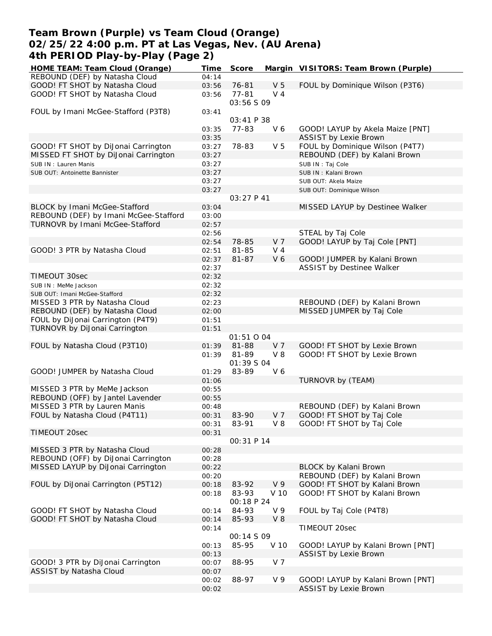### **Team Brown (Purple) vs Team Cloud (Orange) 02/25/22 4:00 p.m. PT at Las Vegas, Nev. (AU Arena) 4th PERIOD Play-by-Play (Page 2)**

| HOME TEAM: Team Cloud (Orange)        | Time           | Score             |                | Margin VISITORS: Team Brown (Purple)                            |
|---------------------------------------|----------------|-------------------|----------------|-----------------------------------------------------------------|
| REBOUND (DEF) by Natasha Cloud        | 04:14          |                   |                |                                                                 |
| GOOD! FT SHOT by Natasha Cloud        | 03:56          | 76-81             | V <sub>5</sub> | FOUL by Dominique Wilson (P3T6)                                 |
| GOOD! FT SHOT by Natasha Cloud        | 03:56          | $77 - 81$         | $V_4$          |                                                                 |
|                                       |                | 03:56 S 09        |                |                                                                 |
| FOUL by Imani McGee-Stafford (P3T8)   | 03:41          |                   |                |                                                                 |
|                                       |                | 03:41 P 38        |                |                                                                 |
|                                       | 03:35          | 77-83             | V6             | GOOD! LAYUP by Akela Maize [PNT]                                |
|                                       | 03:35          |                   | V <sub>5</sub> | <b>ASSIST by Lexie Brown</b><br>FOUL by Dominique Wilson (P4T7) |
| GOOD! FT SHOT by DiJonai Carrington   | 03:27          | 78-83             |                |                                                                 |
| MISSED FT SHOT by DiJonai Carrington  | 03:27          |                   |                | REBOUND (DEF) by Kalani Brown                                   |
| SUB IN: Lauren Manis                  | 03:27          |                   |                | SUB IN: Taj Cole                                                |
| SUB OUT: Antoinette Bannister         | 03:27          |                   |                | SUB IN: Kalani Brown                                            |
|                                       | 03:27          |                   |                | SUB OUT: Akela Maize                                            |
|                                       | 03:27          |                   |                | SUB OUT: Dominique Wilson                                       |
|                                       |                | 03:27 P 41        |                |                                                                 |
| BLOCK by Imani McGee-Stafford         | 03:04          |                   |                | MISSED LAYUP by Destinee Walker                                 |
| REBOUND (DEF) by Imani McGee-Stafford | 03:00          |                   |                |                                                                 |
| TURNOVR by Imani McGee-Stafford       | 02:57          |                   |                |                                                                 |
|                                       | 02:56          |                   |                | STEAL by Taj Cole                                               |
|                                       | 02:54          | 78-85             | V <sub>7</sub> | GOOD! LAYUP by Taj Cole [PNT]                                   |
| GOOD! 3 PTR by Natasha Cloud          | 02:51          | 81-85             | V <sub>4</sub> |                                                                 |
|                                       | 02:37          | $81 - 87$         | V 6            | GOOD! JUMPER by Kalani Brown                                    |
|                                       | 02:37          |                   |                | ASSIST by Destinee Walker                                       |
| TIMEOUT 30sec                         | 02:32          |                   |                |                                                                 |
| SUB IN : MeMe Jackson                 | 02:32          |                   |                |                                                                 |
| SUB OUT: Imani McGee-Stafford         | 02:32          |                   |                |                                                                 |
| MISSED 3 PTR by Natasha Cloud         | 02:23          |                   |                | REBOUND (DEF) by Kalani Brown                                   |
| REBOUND (DEF) by Natasha Cloud        | 02:00          |                   |                | MISSED JUMPER by Taj Cole                                       |
| FOUL by DiJonai Carrington (P4T9)     | 01:51          |                   |                |                                                                 |
| TURNOVR by DiJonai Carrington         | 01:51          |                   |                |                                                                 |
|                                       |                | 01:51 0 04        |                |                                                                 |
| FOUL by Natasha Cloud (P3T10)         | 01:39          | 81-88             | V 7            | GOOD! FT SHOT by Lexie Brown                                    |
|                                       | 01:39          | 81-89             | $V_8$          | GOOD! FT SHOT by Lexie Brown                                    |
|                                       |                | <i>01:39 S 04</i> |                |                                                                 |
| GOOD! JUMPER by Natasha Cloud         | 01:29          | 83-89             | V 6            |                                                                 |
|                                       | 01:06          |                   |                | TURNOVR by (TEAM)                                               |
| MISSED 3 PTR by MeMe Jackson          | 00:55          |                   |                |                                                                 |
| REBOUND (OFF) by Jantel Lavender      | 00:55          |                   |                |                                                                 |
| MISSED 3 PTR by Lauren Manis          | 00:48          |                   |                | REBOUND (DEF) by Kalani Brown                                   |
| FOUL by Natasha Cloud (P4T11)         | 00:31          | 83-90             | V <sub>7</sub> | GOOD! FT SHOT by Taj Cole                                       |
|                                       | 00:31          | 83-91             | V8             | GOOD! FT SHOT by Taj Cole                                       |
| TIMEOUT 20sec                         | 00:31          |                   |                |                                                                 |
|                                       |                | OO: 31 P 14       |                |                                                                 |
| MISSED 3 PTR by Natasha Cloud         | 00:28          |                   |                |                                                                 |
| REBOUND (OFF) by DiJonai Carrington   | 00:28          |                   |                |                                                                 |
| MISSED LAYUP by DiJonai Carrington    | 00:22          |                   |                | BLOCK by Kalani Brown                                           |
|                                       | 00:20          |                   |                | REBOUND (DEF) by Kalani Brown                                   |
| FOUL by DiJonai Carrington (P5T12)    | 00:18          | 83-92             | V <sub>9</sub> | GOOD! FT SHOT by Kalani Brown                                   |
|                                       | 00:18          | 83-93             | V 10           | GOOD! FT SHOT by Kalani Brown                                   |
|                                       |                | 00:18 P 24        |                |                                                                 |
| GOOD! FT SHOT by Natasha Cloud        | 00:14          | 84-93             | V 9            | FOUL by Taj Cole (P4T8)                                         |
| GOOD! FT SHOT by Natasha Cloud        | 00:14          | 85-93             | $V_8$          |                                                                 |
|                                       | 00:14          |                   |                | TIMEOUT 20sec                                                   |
|                                       |                | <i>00:14 S 09</i> |                |                                                                 |
|                                       |                | 85-95             | V 10           | GOOD! LAYUP by Kalani Brown [PNT]                               |
|                                       | 00:13<br>00:13 |                   |                | <b>ASSIST by Lexie Brown</b>                                    |
|                                       |                |                   |                |                                                                 |
| GOOD! 3 PTR by DiJonai Carrington     | 00:07          | 88-95             | V <sub>7</sub> |                                                                 |
| ASSIST by Natasha Cloud               | 00:07          |                   | V <sub>9</sub> |                                                                 |
|                                       | 00:02          | 88-97             |                | GOOD! LAYUP by Kalani Brown [PNT]                               |
|                                       | 00:02          |                   |                | <b>ASSIST by Lexie Brown</b>                                    |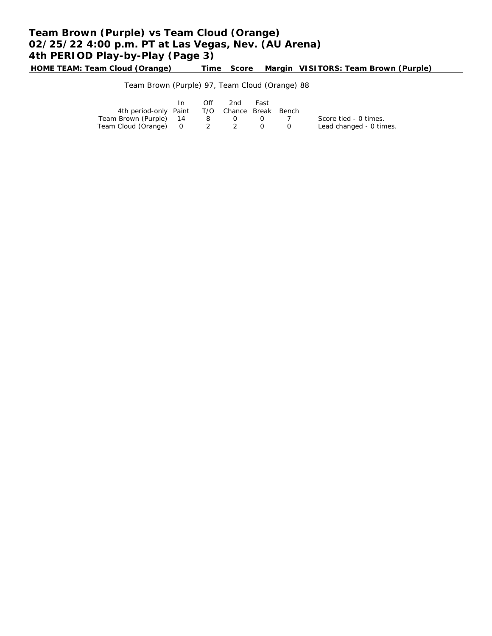# **Team Brown (Purple) vs Team Cloud (Orange) 02/25/22 4:00 p.m. PT at Las Vegas, Nev. (AU Arena) 4th PERIOD Play-by-Play (Page 3)**

**HOME TEAM: Team Cloud (Orange) Time Score Margin VISITORS: Team Brown (Purple)**

Team Brown (Purple) 97, Team Cloud (Orange) 88

|                                              | In. | Off | 2nd | Fast       |                         |
|----------------------------------------------|-----|-----|-----|------------|-------------------------|
| 4th period-only Paint T/O Chance Break Bench |     |     |     |            |                         |
| Team Brown (Purple) 14                       |     |     | 80  | $\sqrt{1}$ | Score tied - 0 times.   |
| Team Cloud (Orange) 0 2 2                    |     |     |     |            | Lead changed - 0 times. |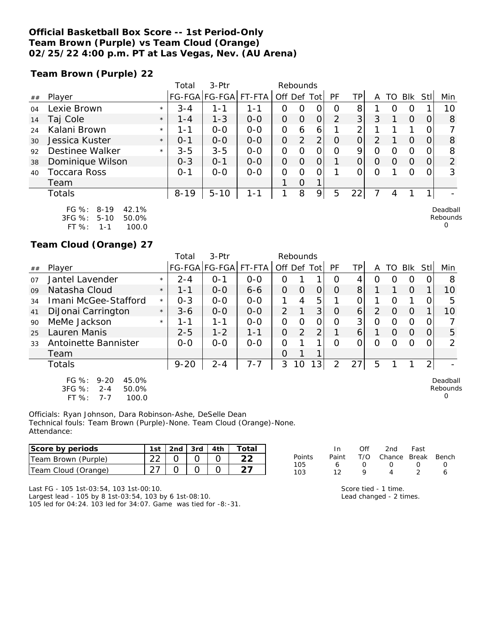### **Official Basketball Box Score -- 1st Period-Only Team Brown (Purple) vs Team Cloud (Orange) 02/25/22 4:00 p.m. PT at Las Vegas, Nev. (AU Arena)**

**Team Brown (Purple) 22**

|    |                            |         | Total    | $3-Ptr$       |         |         | Rebounds |                |                |                 |   |    |            |      |         |
|----|----------------------------|---------|----------|---------------|---------|---------|----------|----------------|----------------|-----------------|---|----|------------|------|---------|
| ## | Player                     |         |          | FG-FGA FG-FGA | FT-FTA  | Off Def |          | Tot            | PF             | TPı             | A | го | <b>BIK</b> | Stll | Min     |
| 04 | Lexie Brown                | $\star$ | $3 - 4$  | $1 - 1$       | 1-1     | 0       | 0        | 0              | O              | 8               |   | O  | O          |      | 10      |
| 14 | Taj Cole                   | $\star$ | $1 - 4$  | $1 - 3$       | $0 - 0$ | O       | $\Omega$ | $\Omega$       | $\overline{2}$ | 3               | 3 |    | $\Omega$   | O    | 8       |
| 24 | Kalani Brown               | $\star$ | $1 - 1$  | $0 - 0$       | $O - O$ | O       | 6        | 6              |                | ⌒               |   |    |            |      | 7       |
| 30 | Jessica Kuster             | $\star$ | $0 - 1$  | $0 - 0$       | $0 - 0$ | O       | 2        | $\overline{2}$ | $\Omega$       | $\Omega$        | 2 |    | $\Omega$   | O    | 8       |
| 92 | Destinee Walker            | $\star$ | $3 - 5$  | $3 - 5$       | $0 - 0$ | O       | O        | 0              | $\Omega$       | 9               | 0 | Ω  | 0          |      | 8       |
| 38 | Dominique Wilson           |         | $0 - 3$  | $O - 1$       | $0 - 0$ | O       | $\Omega$ | $\Omega$       | 1              | 0               | O | 0  | $\Omega$   | O    | 2       |
| 40 | Toccara Ross               |         | $O - 1$  | $O-O$         | $0-0$   | O       | 0        | 0              |                |                 | Ο |    | Ω          |      | 3       |
|    | Team                       |         |          |               |         |         | $\Omega$ | 1              |                |                 |   |    |            |      |         |
|    | Totals                     |         | $8 - 19$ | $5 - 10$      | $1 - 1$ | 1       | 8        | 9              | 5              | 22 <sub>1</sub> |   | 4  |            |      |         |
|    | FG %:<br>$8 - 19$<br>42.1% |         |          |               |         |         |          |                |                |                 |   |    |            |      | Deadbal |

| . שני      | - 07 - 17 | 42.IO |
|------------|-----------|-------|
| $3FG \%$ : | 5-10      | 50.0% |
| FT %:      | 1-1       | 100.0 |

**Team Cloud (Orange) 27**

|    |                                                                                   |         | Total    | $3-$ Ptr             |         |             | Rebounds |   |               |                 |   |                  |          |                |                           |
|----|-----------------------------------------------------------------------------------|---------|----------|----------------------|---------|-------------|----------|---|---------------|-----------------|---|------------------|----------|----------------|---------------------------|
| ## | Player                                                                            |         |          | FG-FGA FG-FGA FT-FTA |         | Off Def Tot |          |   | PF            | TP              | A | TO               | Blk      | Stll           | Min                       |
| 07 | Jantel Lavender                                                                   | $\star$ | $2 - 4$  | $O - 1$              | $0 - 0$ | Ο           |          |   | O             |                 | O |                  | O        |                | 8                         |
| 09 | Natasha Cloud                                                                     | $\star$ | 1 - 1    | $0 - 0$              | $6 - 6$ | $\Omega$    | $\Omega$ | 0 | $\Omega$      | 8               |   |                  | $\Omega$ |                | 10                        |
| 34 | Imani McGee-Stafford                                                              | $\star$ | $0 - 3$  | $0 - 0$              | $0 - 0$ |             | 4        | 5 |               | 0               |   | $\left( \right)$ |          | 0              | 5                         |
| 41 | DiJonai Carrington                                                                | $\star$ | $3 - 6$  | $0 - 0$              | $O-O$   | 2           |          | 3 | O             | $\vert 6 \vert$ | 2 | O                | $\Omega$ |                | 10                        |
| 90 | MeMe Jackson                                                                      | $\star$ | 1 - 1    | 1-1                  | $0 - 0$ | 0           | $\Omega$ | O | O             | 3 <sup>1</sup>  | O | Ω                | O        | 0              |                           |
| 25 | Lauren Manis                                                                      |         | $2 - 5$  | $1 - 2$              | $1 - 1$ | $\Omega$    | 2        | 2 |               | 6               |   | $\Omega$         | $\Omega$ | 0              | 5                         |
| 33 | Antoinette Bannister                                                              |         | $0 - 0$  | $0 - 0$              | $0 - 0$ | O           |          |   | Ω             | Ω               | O | ( )              | Ω        |                | ∍                         |
|    | Team                                                                              |         |          |                      |         | $\Omega$    |          | 1 |               |                 |   |                  |          |                |                           |
|    | Totals                                                                            |         | $9 - 20$ | $2 - 4$              | $7 - 7$ | 3           | 10       | 3 | $\mathcal{P}$ | 27              | 5 |                  |          | 2 <sub>1</sub> |                           |
|    | FG %:<br>$9 - 20$<br>45.0%<br>3FG %:<br>$2 - 4$<br>50.0%<br>FT %:<br>100.0<br>7-7 |         |          |                      |         |             |          |   |               |                 |   |                  |          |                | Deadball<br>Rebounds<br>O |

Officials: Ryan Johnson, Dara Robinson-Ashe, DeSelle Dean Technical fouls: Team Brown (Purple)-None. Team Cloud (Orange)-None. Attendance:

| Score by periods           | l st                      | 2nd | 3rd | 4th | Total |            |      | Of' | 2nd    | Fast  |       |
|----------------------------|---------------------------|-----|-----|-----|-------|------------|------|-----|--------|-------|-------|
| Team Brown (Purple)        | $\cap$<br>∠∠              |     |     |     | ົ     | Points     | Pain | T/O | Chance | Break | Bench |
| 'Team<br>Cloud<br>(Orange) | $\sim$ $\rightarrow$<br>_ |     |     |     |       | 105<br>103 |      |     |        |       |       |

Last FG - 105 1st-03:54, 103 1st-00:10. Largest lead - 105 by 8 1st-03:54, 103 by 6 1st-08:10.

105 led for 04:24. 103 led for 34:07. Game was tied for -8:-31.

|    | In |   | Off 2nd Fast                 |        |        |
|----|----|---|------------------------------|--------|--------|
| Š. |    |   | Paint T/O Chance Break Bench |        |        |
|    | 6  | O | $\left( \right)$             | $\cup$ | $\cap$ |
|    | 12 | Q |                              |        | А      |

Score tied - 1 time. Lead changed - 2 times.

Deadball Rebounds

0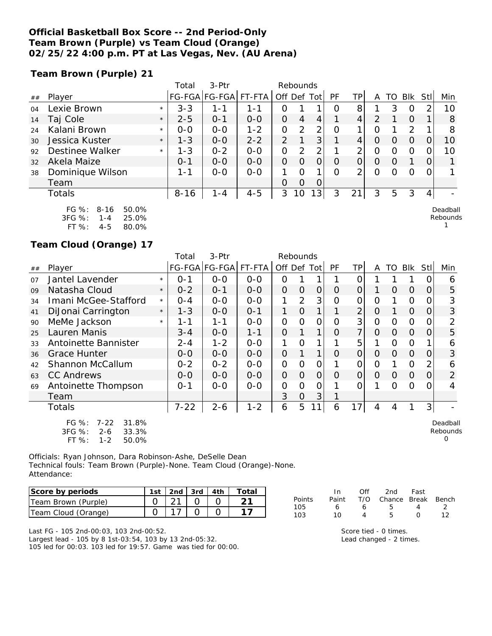### **Official Basketball Box Score -- 2nd Period-Only Team Brown (Purple) vs Team Cloud (Orange) 02/25/22 4:00 p.m. PT at Las Vegas, Nev. (AU Arena)**

**Team Brown (Purple) 21**

|    |                        |         | Total    | $3-Ptr$       |         |               | Rebounds |                |          |     |          |                  |            |          |          |
|----|------------------------|---------|----------|---------------|---------|---------------|----------|----------------|----------|-----|----------|------------------|------------|----------|----------|
| ## | Player                 |         |          | FG-FGA FG-FGA | FT-FTA  | Off Def Tot   |          |                | PF       | TP. | Α        | TO               | <b>BIK</b> | Stll     | Min      |
| 04 | Lexie Brown            | $\star$ | $3 - 3$  | 1 - 1         | 1 - 1   | Ο             |          |                | O        | 8   |          | 3                | O          |          | 10       |
| 14 | Taj Cole               | $\star$ | $2 - 5$  | $O - 1$       | $0 - 0$ | 0             | 4        | 4              |          | 4   | 2        |                  | $\Omega$   |          | 8        |
| 24 | Kalani Brown           | $\star$ | $0 - 0$  | $O - O$       | $1 - 2$ | O             | 2        | 2              | O        |     | Ω        |                  | 2          |          | 8        |
| 30 | Jessica Kuster         | $\star$ | $1 - 3$  | $0 - 0$       | $2 - 2$ | $\mathcal{P}$ |          | 3              |          | 4   | O        | $\left( \right)$ | O          |          | 10       |
| 92 | Destinee Walker        | $\star$ | $1 - 3$  | $0 - 2$       | $0 - 0$ | O             | 2        | 2              |          | ⌒   | O        | Ω                | O          |          | 10       |
| 32 | Akela Maize            |         | $O - 1$  | $0 - 0$       | $0 - 0$ | $\Omega$      | 0        | $\overline{O}$ | $\Omega$ | 0   | $\Omega$ | $\left( \right)$ |            | 0        |          |
| 38 | Dominique Wilson       |         | $1 - 1$  | $0 - 0$       | $O-O$   |               | $\Omega$ |                | $\Omega$ | 2   | $\Omega$ | Ω                | $\Omega$   | $\Omega$ |          |
|    | Team                   |         |          |               |         | $\Omega$      | $\Omega$ | 0              |          |     |          |                  |            |          |          |
|    | Totals                 |         | $8 - 16$ | $1 - 4$       | $4 - 5$ | 3             | 10       | 3 <sub>1</sub> | 3        | 21  | 3        | 5                | 3          | 4        |          |
|    | FG $\%: 8-16$<br>50.0% |         |          |               |         |               |          |                |          |     |          |                  |            |          | Deadball |

| F(1, 70)   | 8-16    | 50.0% |
|------------|---------|-------|
| $3FG \%$ : | 1 - 4   | 25.0% |
| FT $\%$ :  | $4 - 5$ | 80.0% |

### **Team Cloud (Orange) 17**

|    |                                                              |         | Total    | 3-Ptr         |         | Rebounds       |          |       |           |                |                |          |                |                |                      |
|----|--------------------------------------------------------------|---------|----------|---------------|---------|----------------|----------|-------|-----------|----------------|----------------|----------|----------------|----------------|----------------------|
| ## | Player                                                       |         |          | FG-FGA FG-FGA | FT-FTA  | Off.           | Def      | Tot I | <b>PF</b> | ΤP             | A              | TO       | <b>BIK</b>     | Stll           | Min                  |
| 07 | Jantel Lavender                                              | $\star$ | 0-1      | $0 - 0$       | $0 - 0$ | Ο              |          |       |           | Ω              |                |          |                |                | 6                    |
| 09 | Natasha Cloud                                                | $\star$ | $0 - 2$  | $0 - 1$       | $0-0$   | $\Omega$       | O        | 0     | $\Omega$  | 0              |                | $\Omega$ | $\Omega$       | 0              | 5                    |
| 34 | Imani McGee-Stafford                                         | $\star$ | 0-4      | $0-0$         | $0-0$   |                | 2        | 3     | Ω         | 0              | Ο              |          | 0              | 0              | 3                    |
| 41 | DiJonai Carrington                                           | $\star$ | 1-3      | $0 - 0$       | $0 - 1$ |                | $\Omega$ | 1     |           | $\overline{2}$ | $\overline{O}$ |          | $\Omega$       | 0              | 3                    |
| 90 | MeMe Jackson                                                 | $\star$ | 1-1      | $1 - 1$       | $0-0$   | 0              | $\Omega$ | 0     | Ο         | 3              | $\overline{O}$ | O        | 0              | O              | 2                    |
| 25 | Lauren Manis                                                 |         | $3 - 4$  | $0 - 0$       | $1 - 1$ | $\Omega$       |          | 1     | $\Omega$  | $\overline{7}$ | $\Omega$       | Ω        | O              | $\Omega$       | 5                    |
| 33 | Antoinette Bannister                                         |         | $2 - 4$  | $1 - 2$       | $0-0$   | 1              | Ω        | 1     |           | 5              |                | O        | $\overline{O}$ |                | 6                    |
| 36 | Grace Hunter                                                 |         | $O-O$    | $O-O$         | $0 - 0$ | $\overline{O}$ |          |       | Ω         | 0              | O              | Ω        | O              | O              | 3                    |
| 42 | Shannon McCallum                                             |         | $0 - 2$  | $0 - 2$       | $0 - 0$ | $\mathcal{O}$  | Ο        | 0     |           | 0              | 0              |          | 0              | 2              | 6                    |
| 63 | <b>CC Andrews</b>                                            |         | $O-O$    | $O-O$         | $0 - 0$ | $\Omega$       | $\Omega$ | 0     | $\Omega$  | 0              | O              | $\Omega$ | $\Omega$       | O              | $\overline{2}$       |
| 69 | Antoinette Thompson                                          |         | $0 - 1$  | $0 - 0$       | $O-O$   | 0              | Ω        | 0     |           | 0              |                | ∩        | Ω              | O              |                      |
|    | Team                                                         |         |          |               |         | 3              | 0        | 3     |           |                |                |          |                |                |                      |
|    | Totals                                                       |         | $7 - 22$ | $2 - 6$       | $1 - 2$ | 6              | 5        | 11    | 6         | 17             | 4              | 4        |                | 3 <sub>l</sub> |                      |
|    | $FG \%$ :<br>$7 - 22$<br>31.8%<br>3FG %:<br>$2 - 6$<br>33.3% |         |          |               |         |                |          |       |           |                |                |          |                |                | Deadball<br>Rebounds |

| 3FG %:    | 2-6     | 33.3% |
|-----------|---------|-------|
| FT $\%$ : | $1 - 2$ | 50.0% |

Officials: Ryan Johnson, Dara Robinson-Ashe, DeSelle Dean Technical fouls: Team Brown (Purple)-None. Team Cloud (Orange)-None. Attendance:

| Score by periods    | 1st | $\vert$ 2nd $\vert$ 3rd $\vert$ 4th |  | Totai |
|---------------------|-----|-------------------------------------|--|-------|
| Team Brown (Purple) |     |                                     |  |       |
| Team Cloud (Orange) |     |                                     |  |       |

Last FG - 105 2nd-00:03, 103 2nd-00:52. Largest lead - 105 by 8 1st-03:54, 103 by 13 2nd-05:32. 105 led for 00:03. 103 led for 19:57. Game was tied for 00:00.

| Points | In.<br>Paint | Off | 2nd<br>T/O Chance Break Bench | Fast             |     |
|--------|--------------|-----|-------------------------------|------------------|-----|
| 105    | 6            | Ь   | 5.                            | 4                | 2   |
| 103    | 10           |     | h                             | $\left( \right)$ | 1 2 |

Rebounds 1

0

Score tied - 0 times. Lead changed - 2 times.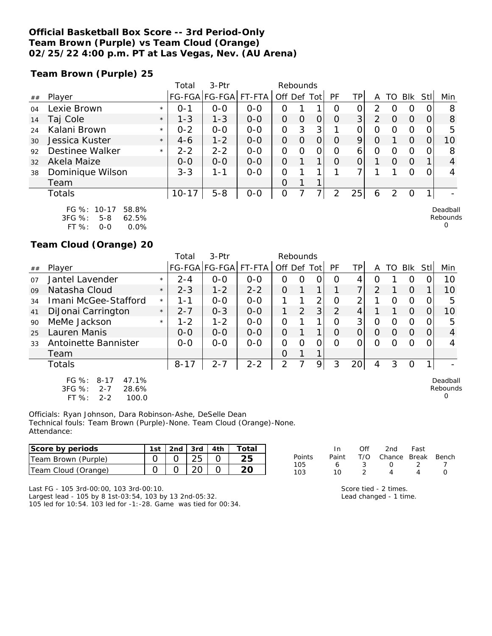### **Official Basketball Box Score -- 3rd Period-Only Team Brown (Purple) vs Team Cloud (Orange) 02/25/22 4:00 p.m. PT at Las Vegas, Nev. (AU Arena)**

**Team Brown (Purple) 25**

|    |                                                      |         | Total   | $3-$ Ptr              |         | Rebounds    |   |    |               |    |                |                  |          |          |                      |
|----|------------------------------------------------------|---------|---------|-----------------------|---------|-------------|---|----|---------------|----|----------------|------------------|----------|----------|----------------------|
| ## | Player                                               |         |         | FG-FGA FG-FGA  FT-FTA |         | Off Def Tot |   |    | PF            | ΤP | A              | TO               | Blk      | Stl      | Min                  |
| 04 | Lexie Brown                                          | $\star$ | $O - 1$ | $0 - 0$               | $0 - 0$ | 0           |   |    | $\Omega$      | 0  | 2              | $\left( \right)$ | O        |          | 8                    |
| 14 | Taj Cole                                             | $\star$ | $1 - 3$ | $1 - 3$               | $0 - 0$ | 0           | O | 0  | $\Omega$      | 3  | $\overline{2}$ | $\Omega$         | $\Omega$ | $\Omega$ | 8                    |
| 24 | Kalani Brown                                         | $\star$ | $0 - 2$ | $0 - 0$               | $0 - 0$ | 0           | 3 | 3  |               | 0  | 0              | 0                | 0        |          | 5                    |
| 30 | Jessica Kuster                                       | $\star$ | $4-6$   | $1 - 2$               | $0 - 0$ | O           | O | Ο  | O             | 9  | O              |                  | $\Omega$ |          | 10                   |
| 92 | Destinee Walker                                      | $\star$ | $2 - 2$ | $2 - 2$               | $0 - 0$ | Ο           | Ω | O  | Ω             | 6  | 0              | 0                | 0        |          | 8                    |
| 32 | Akela Maize                                          |         | $O-O$   | $0-0$                 | $0-0$   | 0           |   | 1. | O             | 0  |                | $\Omega$         | $\Omega$ |          | 4                    |
| 38 | Dominique Wilson                                     |         | $3 - 3$ | 1-1                   | $0 - 0$ | Ο           |   | ◀  |               |    |                |                  | $\Omega$ |          |                      |
|    | Team                                                 |         |         |                       |         | Ο           |   | 1  |               |    |                |                  |          |          |                      |
|    | Totals                                               |         | $10-17$ | $5 - 8$               | $O-O$   | 0           |   | 7١ | $\mathcal{P}$ | 25 | 6              | $\mathcal{P}$    | 0        |          |                      |
|    | FG %: 10-17<br>58.8%<br>$3FG \%$<br>62.5%<br>$5 - 8$ |         |         |                       |         |             |   |    |               |    |                |                  |          |          | Deadball<br>Rebounds |

| .      | $\cdots$ |         |
|--------|----------|---------|
| 3FG %: | 5-8      | 62.5%   |
| FT %:  | 0-0      | $0.0\%$ |

**Team Cloud (Orange) 20**

|    |                                                                                             |         | Total    | $3-Ptr$              |         | Rebounds       |   |                |          |                 |               |          |          |      |                                  |
|----|---------------------------------------------------------------------------------------------|---------|----------|----------------------|---------|----------------|---|----------------|----------|-----------------|---------------|----------|----------|------|----------------------------------|
| ## | Plaver                                                                                      |         |          | FG-FGA FG-FGA FT-FTA |         | Off Def Tot    |   |                | PF       | ΤP              | A             | TO       | Blk      | Stll | Min                              |
| 07 | Jantel Lavender                                                                             | $\star$ | $2 - 4$  | $O-O$                | $0 - 0$ | Ο              | Ο | 0              | O        |                 | O             |          | O        |      | 10                               |
| 09 | Natasha Cloud                                                                               | $\star$ | $2 - 3$  | $1 - 2$              | $2 - 2$ | 0              |   | 1              |          | 7               | $\mathcal{P}$ |          | $\Omega$ |      | 10                               |
| 34 | Imani McGee-Stafford                                                                        | $\star$ | 1 - 1    | $0 - 0$              | $O-O$   |                |   | 2              | Ω        | 2               |               | Ω        | $\circ$  |      | 5                                |
| 41 | DiJonai Carrington                                                                          | $\star$ | $2 - 7$  | $0 - 3$              | $O-O$   |                | 2 | 3 <sup>1</sup> | 2        | 4               |               |          | $\Omega$ |      | 10                               |
| 90 | MeMe Jackson                                                                                | $\star$ | $1 - 2$  | $1 - 2$              | $0 - 0$ | 0              |   | 1              | Ω        | 3 <sup>1</sup>  | 0             | Ω        | $\circ$  |      | 5                                |
| 25 | Lauren Manis                                                                                |         | $O-O$    | $O-O$                | $O-O$   | O              |   | 1              | $\Omega$ | $\Omega$        | $\Omega$      | $\Omega$ | $\Omega$ |      | 4                                |
| 33 | Antoinette Bannister                                                                        |         | $0-0$    | $0 - 0$              | $0 - 0$ | 0              | Ω | 0              | Ω        | Ω               | Ω             | O        | O        |      |                                  |
|    | Team                                                                                        |         |          |                      |         | Ω              |   | 1              |          |                 |               |          |          |      |                                  |
|    | Totals                                                                                      |         | $8 - 17$ | $2 - 7$              | $2 - 2$ | $\overline{2}$ |   | 9              | 3        | 20 <sup>1</sup> | 4             | 3        | $\Omega$ |      |                                  |
|    | $FG \%$ :<br>$8 - 17$<br>47.1%<br>3FG %:<br>$2 - 7$<br>28.6%<br>$FT$ %:<br>100.0<br>$2 - 2$ |         |          |                      |         |                |   |                |          |                 |               |          |          |      | Deadball<br>Rebounds<br>$\Omega$ |

Officials: Ryan Johnson, Dara Robinson-Ashe, DeSelle Dean Technical fouls: Team Brown (Purple)-None. Team Cloud (Orange)-None. Attendance:

| Score by periods    | ∣st | 2nd | 3rd          | 4th | Total |            |       |     | 2nd    | Fast  |       |
|---------------------|-----|-----|--------------|-----|-------|------------|-------|-----|--------|-------|-------|
| Team Brown (Purple) |     |     |              |     |       | Points     | Paint | T/O | Chance | Break | Bench |
| Team Cloud (Orange) |     |     | $\cap$<br>∠◡ |     | ∩∩    | 105<br>103 |       |     |        |       |       |

Last FG - 105 3rd-00:00, 103 3rd-00:10. Largest lead - 105 by 8 1st-03:54, 103 by 13 2nd-05:32. 105 led for 10:54. 103 led for -1:-28. Game was tied for 00:34.

|    | $\mathbf{H}$ | $\cup$ | znu rast                     |     |  |
|----|--------------|--------|------------------------------|-----|--|
| 'S |              |        | Paint T/O Chance Break Bench |     |  |
|    | 6            | -3     | $\left( \right)$             | - 2 |  |
|    | $10^{-}$     |        |                              | Δ   |  |
|    |              |        |                              |     |  |

0

Score tied - 2 times. Lead changed - 1 time.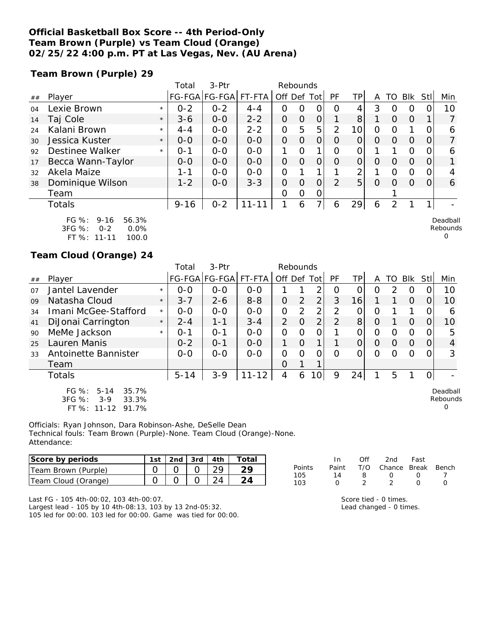### **Official Basketball Box Score -- 4th Period-Only Team Brown (Purple) vs Team Cloud (Orange) 02/25/22 4:00 p.m. PT at Las Vegas, Nev. (AU Arena)**

**Team Brown (Purple) 29**

|    |                                                             |         | Total    | 3-Ptr                |           | Rebounds    |          |                |                |                |          |          |          |             |                                |
|----|-------------------------------------------------------------|---------|----------|----------------------|-----------|-------------|----------|----------------|----------------|----------------|----------|----------|----------|-------------|--------------------------------|
| ## | Player                                                      |         |          | FG-FGA FG-FGA FT-FTA |           | Off Def Tot |          |                | PF             | ΤP             | A        |          | TO BIK   | <b>Stll</b> | Min                            |
| 04 | Lexie Brown                                                 | $\star$ | $0 - 2$  | $0 - 2$              | $4 - 4$   | Ο           | 0        | 0              | $\Omega$       | 4              | 3        |          | $\Omega$ |             | 10                             |
| 14 | Taj Cole                                                    | $\star$ | $3 - 6$  | $0-0$                | $2 - 2$   | 0           | 0        | $\overline{O}$ |                | 8              |          | $\Omega$ | $\Omega$ |             |                                |
| 24 | Kalani Brown                                                | $\star$ | $4 - 4$  | $0-0$                | $2 - 2$   | 0           | 5        | 5              | $\overline{2}$ | 10             | 0        | ∩        |          |             | 6                              |
| 30 | Jessica Kuster                                              | $\star$ | $0 - 0$  | $0 - 0$              | $O-O$     | 0           | $\Omega$ | $\overline{O}$ | $\Omega$       |                | $\Omega$ | $\Omega$ | $\Omega$ | $\Omega$    |                                |
| 92 | Destinee Walker                                             | $\star$ | $0 - 1$  | $0 - 0$              | $0 - 0$   |             | $\Omega$ | 1              | $\Omega$       | 0              |          |          | $\Omega$ | $\Omega$    | 6                              |
| 17 | Becca Wann-Taylor                                           |         | $0-0$    | $0-0$                | $0 - 0$   | 0           | 0        | $\overline{O}$ | $\Omega$       | $\overline{O}$ | $\Omega$ | $\Omega$ | $\Omega$ | $\Omega$    |                                |
| 32 | Akela Maize                                                 |         | 1-1      | $0 - 0$              | $O-O$     | 0           |          |                |                | 2              |          | $\Omega$ | $\Omega$ | $\Omega$    | 4                              |
| 38 | Dominique Wilson                                            |         | $1 - 2$  | $0 - 0$              | $3 - 3$   | 0           | 0        | $\overline{O}$ | $\mathcal{P}$  | 5              | $\Omega$ | $\Omega$ | $\Omega$ | $\Omega$    | 6                              |
|    | Team                                                        |         |          |                      |           | O           | O        | 0              |                |                |          |          |          |             |                                |
|    | Totals                                                      |         | $9 - 16$ | $0 - 2$              | $11 - 11$ |             | 6        | 7۱             | 6              | 29             | 6        |          |          |             |                                |
|    | FG %:<br>$9 - 16$<br>56.3%<br>$3FG \%$ :<br>0.0%<br>$O - 2$ |         |          |                      |           |             |          |                |                |                |          |          |          |             | Deadball<br>Rebounds<br>$\sim$ |

FT %: 11-11 100.0

#### **Team Cloud (Orange) 24**

|    |                                                                                               |         | Total    | $3-Ptr$       |           | Rebounds       |                |                 |           |          |          |                  |          |          |                                  |
|----|-----------------------------------------------------------------------------------------------|---------|----------|---------------|-----------|----------------|----------------|-----------------|-----------|----------|----------|------------------|----------|----------|----------------------------------|
| ## | Player                                                                                        |         |          | FG-FGA FG-FGA | FT-FTA    | Off Def Tot    |                |                 | <b>PF</b> | TP       | A        | TO I             | Blk      | -StII    | Min                              |
| 07 | Jantel Lavender                                                                               | $\star$ | $0 - 0$  | $0 - 0$       | $O-O$     |                |                | 2               | O         | 0        | Ο        | 2                | O        |          | 10                               |
| 09 | Natasha Cloud                                                                                 | $\star$ | $3 - 7$  | $2 - 6$       | $8 - 8$   | $\Omega$       | 2              | $\overline{2}$  | 3         | 16       |          |                  | $\Omega$ | $\Omega$ | 10                               |
| 34 | Imani McGee-Stafford                                                                          | $\star$ | $0 - 0$  | $0-0$         | $0 - 0$   | $\overline{O}$ | $\overline{2}$ | 2               | 2         | 0        | O        |                  |          | O        | 6                                |
| 41 | DiJonai Carrington                                                                            | $\star$ | $2 - 4$  | $1 - 1$       | $3 - 4$   | $\overline{2}$ | $\Omega$       | $\overline{2}$  | 2         | 8        | $\Omega$ |                  | $\Omega$ | O        | 10                               |
| 90 | MeMe Jackson                                                                                  | $\star$ | $O - 1$  | $O - 1$       | $0 - 0$   | 0              | 0              | 0               |           | O        | O        | $\Omega$         | O        | 0        | 5                                |
| 25 | Lauren Manis                                                                                  |         | $0 - 2$  | $O - 1$       | $0 - 0$   |                | $\Omega$       | $\mathbf 1$     |           | 0        | $\Omega$ | O                | $\Omega$ | 0        | 4                                |
| 33 | Antoinette Bannister                                                                          |         | $0 - 0$  | $0 - 0$       | $0 - 0$   | $\Omega$       | $\Omega$       | $\Omega$        | $\Omega$  | $\Omega$ | $\Omega$ | $\left( \right)$ | $\Omega$ | O        | 3                                |
|    | Team                                                                                          |         |          |               |           | $\overline{O}$ |                |                 |           |          |          |                  |          |          |                                  |
|    | <b>Totals</b>                                                                                 |         | $5 - 14$ | $3 - 9$       | $11 - 12$ | 4              | 6              | 10 <sup>1</sup> | 9         | 24       |          | 5                |          | 0I       |                                  |
|    | $FG \%$ :<br>$5 - 14$<br>35.7%<br>3FG %:<br>$3-9$<br>33.3%<br>FT $\%$ :<br>$11 - 12$<br>91.7% |         |          |               |           |                |                |                 |           |          |          |                  |          |          | Deadball<br>Rebounds<br>$\Omega$ |

Officials: Ryan Johnson, Dara Robinson-Ashe, DeSelle Dean Technical fouls: Team Brown (Purple)-None. Team Cloud (Orange)-None. Attendance:

| Score by periods    | 1st | 2nd $\sqrt{3}$ 3rd $\sqrt{4}$ 4th | Total |
|---------------------|-----|-----------------------------------|-------|
| Team Brown (Purple) |     |                                   |       |
| Team Cloud (Orange) |     |                                   |       |

Last FG - 105 4th-00:02, 103 4th-00:07.

Largest lead - 105 by 10 4th-08:13, 103 by 13 2nd-05:32. 105 led for 00:00. 103 led for 00:00. Game was tied for 00:00.

|        | In           | ∩ff | 2nd                    | Fast             |                  |
|--------|--------------|-----|------------------------|------------------|------------------|
| Points | Paint        |     | T/O Chance Break Bench |                  |                  |
| 105    | 14           | я   | $\left( \right)$       | $\left( \right)$ |                  |
| 103    | $\mathbf{I}$ |     |                        | $\left( \right)$ | $\left( \right)$ |

0

Score tied - 0 times. Lead changed - 0 times.